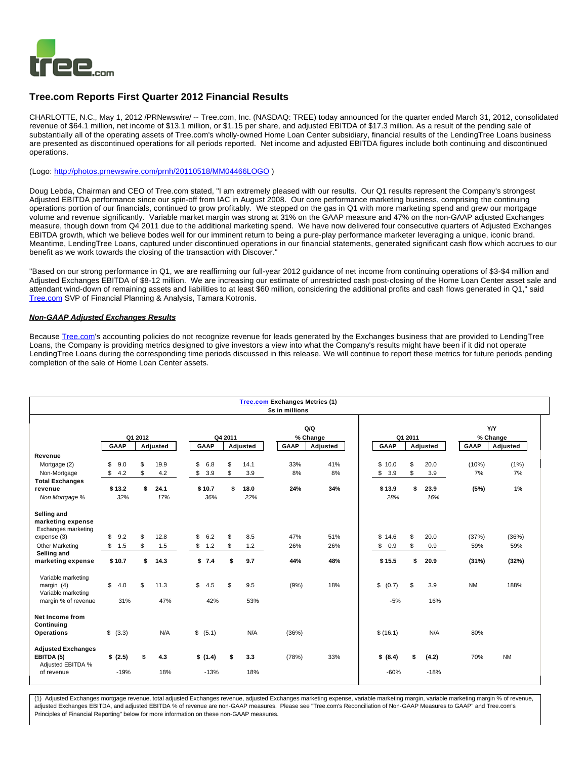

# **Tree.com Reports First Quarter 2012 Financial Results**

CHARLOTTE, N.C., May 1, 2012 /PRNewswire/ -- Tree.com, Inc. (NASDAQ: TREE) today announced for the quarter ended March 31, 2012, consolidated revenue of \$64.1 million, net income of \$13.1 million, or \$1.15 per share, and adjusted EBITDA of \$17.3 million. As a result of the pending sale of substantially all of the operating assets of Tree.com's wholly-owned Home Loan Center subsidiary, financial results of the LendingTree Loans business are presented as discontinued operations for all periods reported. Net income and adjusted EBITDA figures include both continuing and discontinued operations.

(Logo: <http://photos.prnewswire.com/prnh/20110518/MM04466LOGO> )

Doug Lebda, Chairman and CEO of Tree.com stated, "I am extremely pleased with our results. Our Q1 results represent the Company's strongest Adjusted EBITDA performance since our spin-off from IAC in August 2008. Our core performance marketing business, comprising the continuing operations portion of our financials, continued to grow profitably. We stepped on the gas in Q1 with more marketing spend and grew our mortgage volume and revenue significantly. Variable market margin was strong at 31% on the GAAP measure and 47% on the non-GAAP adjusted Exchanges measure, though down from Q4 2011 due to the additional marketing spend. We have now delivered four consecutive quarters of Adjusted Exchanges EBITDA growth, which we believe bodes well for our imminent return to being a pure-play performance marketer leveraging a unique, iconic brand. Meantime, LendingTree Loans, captured under discontinued operations in our financial statements, generated significant cash flow which accrues to our benefit as we work towards the closing of the transaction with Discover."

"Based on our strong performance in Q1, we are reaffirming our full-year 2012 guidance of net income from continuing operations of \$3-\$4 million and Adjusted Exchanges EBITDA of \$8-12 million. We are increasing our estimate of unrestricted cash post-closing of the Home Loan Center asset sale and attendant wind-down of remaining assets and liabilities to at least \$60 million, considering the additional profits and cash flows generated in Q1," said [Tree.com](http://tree.com/) SVP of Financial Planning & Analysis, Tamara Kotronis.

# **Non-GAAP Adjusted Exchanges Results**

Because [Tree.com](http://tree.com/)'s accounting policies do not recognize revenue for leads generated by the Exchanges business that are provided to LendingTree Loans, the Company is providing metrics designed to give investors a view into what the Company's results might have been if it did not operate LendingTree Loans during the corresponding time periods discussed in this release. We will continue to report these metrics for future periods pending completion of the sale of Home Loan Center assets.

| <b>Tree.com Exchanges Metrics (1)</b><br>\$s in millions     |                     |    |          |  |             |    |          |             |          |             |    |          |           |            |
|--------------------------------------------------------------|---------------------|----|----------|--|-------------|----|----------|-------------|----------|-------------|----|----------|-----------|------------|
|                                                              |                     |    |          |  |             |    |          |             | Q/Q      |             |    |          |           | <b>Y/Y</b> |
|                                                              | Q1 2012             |    |          |  | Q4 2011     |    |          | % Change    | Q1 2011  |             |    | % Change |           |            |
|                                                              | <b>GAAP</b>         |    | Adjusted |  | <b>GAAP</b> |    | Adjusted | <b>GAAP</b> | Adjusted | <b>GAAP</b> |    | Adjusted | GAAP      | Adjusted   |
| Revenue                                                      |                     |    |          |  |             |    |          |             |          |             |    |          |           |            |
| Mortgage (2)                                                 | 9.0<br>\$           | \$ | 19.9     |  | \$<br>6.8   | \$ | 14.1     | 33%         | 41%      | \$10.0      | \$ | 20.0     | (10%)     | (1%)       |
| Non-Mortgage                                                 | \$<br>4.2           | \$ | 4.2      |  | \$<br>3.9   | \$ | 3.9      | 8%          | 8%       | 3.9<br>\$   | \$ | 3.9      | 7%        | 7%         |
| <b>Total Exchanges</b>                                       |                     |    |          |  |             |    |          |             |          |             |    |          |           |            |
| revenue                                                      | \$13.2              | \$ | 24.1     |  | \$10.7      | \$ | 18.0     | 24%         | 34%      | \$13.9      | \$ | 23.9     | (5%)      | 1%         |
| Non Mortgage %                                               | 32%                 |    | 17%      |  | 36%         |    | 22%      |             |          | 28%         |    | 16%      |           |            |
| Selling and<br>marketing expense<br>Exchanges marketing      |                     |    |          |  |             |    |          |             |          |             |    |          |           |            |
| expense (3)                                                  | \$<br>9.2           | \$ | 12.8     |  | \$<br>6.2   | \$ | 8.5      | 47%         | 51%      | \$14.6      | \$ | 20.0     | (37%)     | (36%)      |
| Other Marketing                                              | 1.5<br>\$           | \$ | 1.5      |  | \$<br>1.2   | S  | 1.2      | 26%         | 26%      | 0.9<br>S.   | \$ | 0.9      | 59%       | 59%        |
| Selling and                                                  |                     |    |          |  |             |    |          |             |          |             |    |          |           |            |
| marketing expense                                            | \$10.7              | \$ | 14.3     |  | \$7.4       | s. | 9.7      | 44%         | 48%      | \$15.5      | \$ | 20.9     | (31%)     | (32%)      |
| Variable marketing<br>margin $(4)$<br>Variable marketing     | $\mathbb{S}$<br>4.0 | \$ | 11.3     |  | \$<br>4.5   | \$ | 9.5      | (9%)        | 18%      | \$<br>(0.7) | \$ | 3.9      | <b>NM</b> | 188%       |
| margin % of revenue                                          | 31%                 |    | 47%      |  | 42%         |    | 53%      |             |          | $-5%$       |    | 16%      |           |            |
| Net Income from<br>Continuing<br><b>Operations</b>           | \$ (3.3)            |    | N/A      |  | \$ (5.1)    |    | N/A      | (36%)       |          | \$(16.1)    |    | N/A      | 80%       |            |
| <b>Adjusted Exchanges</b><br>EBITDA (5)<br>Adjusted EBITDA % | \$(2.5)             | \$ | 4.3      |  | \$(1.4)     | \$ | 3.3      | (78%)       | 33%      | \$ (8.4)    | \$ | (4.2)    | 70%       | <b>NM</b>  |
| of revenue                                                   | $-19%$              |    | 18%      |  | $-13%$      |    | 18%      |             |          | $-60%$      |    | $-18%$   |           |            |

(1) Adjusted Exchanges mortgage revenue, total adjusted Exchanges revenue, adjusted Exchanges marketing expense, variable marketing margin, variable marketing margin % of revenue, adjusted Exchanges EBITDA, and adjusted EBITDA % of revenue are non-GAAP measures. Please see "Tree.com's Reconciliation of Non-GAAP Measures to GAAP" and Tree.com's Principles of Financial Reporting" below for more information on these non-GAAP measures.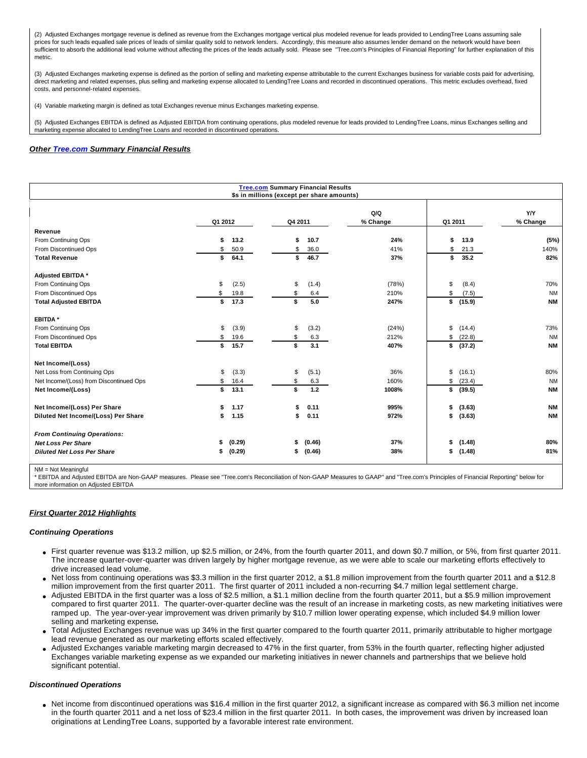(2) Adjusted Exchanges mortgage revenue is defined as revenue from the Exchanges mortgage vertical plus modeled revenue for leads provided to LendingTree Loans assuming sale prices for such leads equalled sale prices of leads of similar quality sold to network lenders. Accordingly, this measure also assumes lender demand on the network would have been sufficient to absorb the additional lead volume without affecting the prices of the leads actually sold. Please see "Tree.com's Principles of Financial Reporting" for further explanation of this metric.

(3) Adjusted Exchanges marketing expense is defined as the portion of selling and marketing expense attributable to the current Exchanges business for variable costs paid for advertising, direct marketing and related expenses, plus selling and marketing expense allocated to LendingTree Loans and recorded in discontinued operations. This metric excludes overhead, fixed costs, and personnel-related expenses.

(4) Variable marketing margin is defined as total Exchanges revenue minus Exchanges marketing expense.

(5) Adjusted Exchanges EBITDA is defined as Adjusted EBITDA from continuing operations, plus modeled revenue for leads provided to LendingTree Loans, minus Exchanges selling and marketing expense allocated to LendingTree Loans and recorded in discontinued operations.

# **Other [Tree.com](http://tree.com/) Summary Financial Results**

| <b>Tree.com Summary Financial Results</b><br>\$s in millions (except per share amounts) |         |        |         |        |                 |         |          |                 |
|-----------------------------------------------------------------------------------------|---------|--------|---------|--------|-----------------|---------|----------|-----------------|
|                                                                                         | Q1 2012 |        | Q4 2011 |        | Q/Q<br>% Change | Q1 2011 |          | Y/Y<br>% Change |
| Revenue                                                                                 |         |        |         |        |                 |         |          |                 |
| From Continuing Ops                                                                     | \$      | 13.2   | \$      | 10.7   | 24%             | \$      | 13.9     | (5%)            |
| From Discontinued Ops                                                                   | \$      | 50.9   | \$      | 36.0   | 41%             | \$      | 21.3     | 140%            |
| <b>Total Revenue</b>                                                                    | \$      | 64.1   | \$      | 46.7   | 37%             | \$      | 35.2     | 82%             |
| Adjusted EBITDA *                                                                       |         |        |         |        |                 |         |          |                 |
| From Continuing Ops                                                                     | \$      | (2.5)  | \$      | (1.4)  | (78%)           | \$      | (8.4)    | 70%             |
| From Discontinued Ops                                                                   | S       | 19.8   | \$      | 6.4    | 210%            | \$      | (7.5)    | <b>NM</b>       |
| <b>Total Adjusted EBITDA</b>                                                            | \$      | 17.3   | \$      | 5.0    | 247%            |         | \$(15.9) | <b>NM</b>       |
| <b>EBITDA*</b>                                                                          |         |        |         |        |                 |         |          |                 |
| From Continuing Ops                                                                     | \$      | (3.9)  | \$      | (3.2)  | (24%)           | \$      | (14.4)   | 73%             |
| From Discontinued Ops                                                                   | \$      | 19.6   | \$      | 6.3    | 212%            | \$      | (22.8)   | <b>NM</b>       |
| <b>Total EBITDA</b>                                                                     | \$      | 15.7   | \$      | 3.1    | 407%            | \$      | (37.2)   | <b>NM</b>       |
| Net Income/(Loss)                                                                       |         |        |         |        |                 |         |          |                 |
| Net Loss from Continuing Ops                                                            | \$      | (3.3)  | \$      | (5.1)  | 36%             | \$      | (16.1)   | 80%             |
| Net Income/(Loss) from Discontinued Ops                                                 | \$      | 16.4   | \$      | 6.3    | 160%            | \$      | (23.4)   | <b>NM</b>       |
| Net Income/(Loss)                                                                       | \$      | 13.1   | \$      | 1.2    | 1008%           | \$      | (39.5)   | <b>NM</b>       |
| Net Income/(Loss) Per Share                                                             |         | 1.17   | \$      | 0.11   | 995%            | \$      | (3.63)   | <b>NM</b>       |
| Diluted Net Income/(Loss) Per Share                                                     |         | 1.15   | \$      | 0.11   | 972%            | \$      | (3.63)   | <b>NM</b>       |
| <b>From Continuing Operations:</b>                                                      |         |        |         |        |                 |         |          |                 |
| <b>Net Loss Per Share</b>                                                               | \$      | (0.29) | \$      | (0.46) | 37%             | \$      | (1.48)   | 80%             |
| <b>Diluted Net Loss Per Share</b>                                                       | \$      | (0.29) | \$      | (0.46) | 38%             |         | \$(1.48) | 81%             |
|                                                                                         |         |        |         |        |                 |         |          |                 |

NM = Not Meaningful

\* EBITDA and Adjusted EBITDA are Non-GAAP measures. Please see "Tree.com's Reconciliation of Non-GAAP Measures to GAAP" and "Tree.com's Principles of Financial Reporting" below for more information on Adjusted EBITDA

## **First Quarter 2012 Highlights**

## **Continuing Operations**

- First quarter revenue was \$13.2 million, up \$2.5 million, or 24%, from the fourth quarter 2011, and down \$0.7 million, or 5%, from first quarter 2011. The increase quarter-over-quarter was driven largely by higher mortgage revenue, as we were able to scale our marketing efforts effectively to drive increased lead volume.
- Net loss from continuing operations was \$3.3 million in the first quarter 2012, a \$1.8 million improvement from the fourth quarter 2011 and a \$12.8 million improvement from the first quarter 2011. The first quarter of 2011 included a non-recurring \$4.7 million legal settlement charge.
- Adjusted EBITDA in the first quarter was a loss of \$2.5 million, a \$1.1 million decline from the fourth quarter 2011, but a \$5.9 million improvement compared to first quarter 2011. The quarter-over-quarter decline was the result of an increase in marketing costs, as new marketing initiatives were ramped up. The year-over-year improvement was driven primarily by \$10.7 million lower operating expense, which included \$4.9 million lower selling and marketing expense**.**
- Total Adjusted Exchanges revenue was up 34% in the first quarter compared to the fourth quarter 2011, primarily attributable to higher mortgage lead revenue generated as our marketing efforts scaled effectively.
- Adjusted Exchanges variable marketing margin decreased to 47% in the first quarter, from 53% in the fourth quarter, reflecting higher adjusted Exchanges variable marketing expense as we expanded our marketing initiatives in newer channels and partnerships that we believe hold significant potential.

## **Discontinued Operations**

Net income from discontinued operations was \$16.4 million in the first quarter 2012, a significant increase as compared with \$6.3 million net income in the fourth quarter 2011 and a net loss of \$23.4 million in the first quarter 2011. In both cases, the improvement was driven by increased loan originations at LendingTree Loans, supported by a favorable interest rate environment.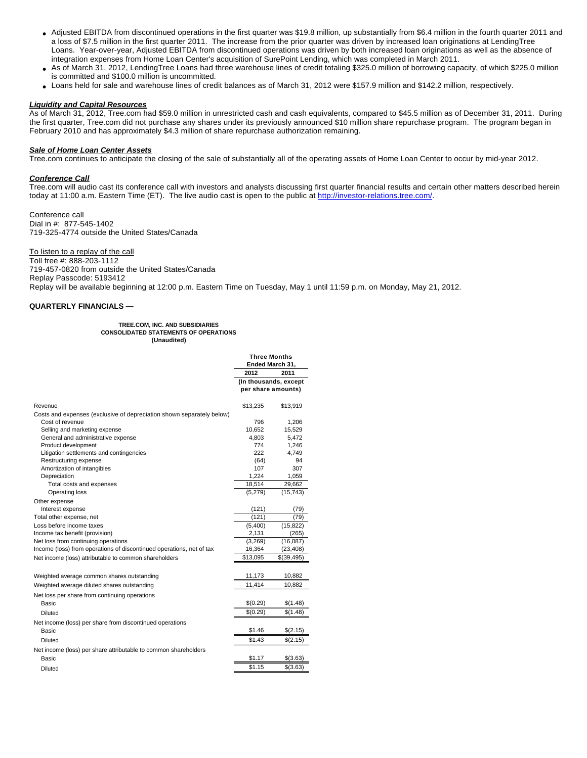- Adjusted EBITDA from discontinued operations in the first quarter was \$19.8 million, up substantially from \$6.4 million in the fourth quarter 2011 and a loss of \$7.5 million in the first quarter 2011. The increase from the prior quarter was driven by increased loan originations at LendingTree Loans. Year-over-year, Adjusted EBITDA from discontinued operations was driven by both increased loan originations as well as the absence of integration expenses from Home Loan Center's acquisition of SurePoint Lending, which was completed in March 2011.
- As of March 31, 2012, LendingTree Loans had three warehouse lines of credit totaling \$325.0 million of borrowing capacity, of which \$225.0 million is committed and \$100.0 million is uncommitted.
- Loans held for sale and warehouse lines of credit balances as of March 31, 2012 were \$157.9 million and \$142.2 million, respectively.

## **Liquidity and Capital Resources**

As of March 31, 2012, Tree.com had \$59.0 million in unrestricted cash and cash equivalents, compared to \$45.5 million as of December 31, 2011. During the first quarter, Tree.com did not purchase any shares under its previously announced \$10 million share repurchase program. The program began in February 2010 and has approximately \$4.3 million of share repurchase authorization remaining.

## **Sale of Home Loan Center Assets**

Tree.com continues to anticipate the closing of the sale of substantially all of the operating assets of Home Loan Center to occur by mid-year 2012.

## **Conference Call**

Tree.com will audio cast its conference call with investors and analysts discussing first quarter financial results and certain other matters described herein today at 11:00 a.m. Eastern Time (ET). The live audio cast is open to the public at [http://investor-relations.tree.com/.](http://investor-relations.tree.com/)

Conference call Dial in #: 877-545-1402 719-325-4774 outside the United States/Canada

To listen to a replay of the call

Toll free #: 888-203-1112 719-457-0820 from outside the United States/Canada Replay Passcode: 5193412 Replay will be available beginning at 12:00 p.m. Eastern Time on Tuesday, May 1 until 11:59 p.m. on Monday, May 21, 2012.

# **QUARTERLY FINANCIALS —**

#### **TREE.COM, INC. AND SUBSIDIARIES CONSOLIDATED STATEMENTS OF OPERATIONS (Unaudited)**

|                                                                       | <b>Three Months</b><br>Ended March 31, |                                             |
|-----------------------------------------------------------------------|----------------------------------------|---------------------------------------------|
|                                                                       | 2012                                   | 2011                                        |
|                                                                       |                                        | (In thousands, except<br>per share amounts) |
| Revenue                                                               | \$13.235                               | \$13,919                                    |
| Costs and expenses (exclusive of depreciation shown separately below) |                                        |                                             |
| Cost of revenue                                                       | 796                                    | 1,206                                       |
| Selling and marketing expense                                         | 10.652                                 | 15,529                                      |
| General and administrative expense                                    | 4,803                                  | 5,472                                       |
| Product development                                                   | 774                                    | 1,246                                       |
| Litigation settlements and contingencies                              | 222                                    | 4,749                                       |
| Restructuring expense                                                 | (64)                                   | 94                                          |
| Amortization of intangibles                                           | 107                                    | 307                                         |
| Depreciation                                                          | 1,224                                  | 1,059                                       |
| Total costs and expenses                                              | 18,514                                 | 29,662                                      |
| Operating loss                                                        | (5,279)                                | (15, 743)                                   |
| Other expense                                                         |                                        |                                             |
| Interest expense                                                      | (121)                                  | (79)                                        |
| Total other expense, net                                              | (121)                                  | (79)                                        |
| Loss before income taxes                                              | (5,400)                                | (15, 822)                                   |
| Income tax benefit (provision)                                        | 2,131                                  | (265)                                       |
| Net loss from continuing operations                                   | (3,269)                                | (16,087)                                    |
| Income (loss) from operations of discontinued operations, net of tax  | 16,364                                 | (23, 408)                                   |
| Net income (loss) attributable to common shareholders                 | \$13,095                               | \$(39,495)                                  |
| Weighted average common shares outstanding                            | 11,173                                 | 10,882                                      |
| Weighted average diluted shares outstanding                           | 11,414                                 | 10,882                                      |
| Net loss per share from continuing operations                         |                                        |                                             |
| Basic                                                                 | \$(0.29)                               | \$(1.48)                                    |
| <b>Diluted</b>                                                        | \$(0.29)                               | \$(1.48)                                    |
|                                                                       |                                        |                                             |
| Net income (loss) per share from discontinued operations<br>Basic     | \$1.46                                 |                                             |
|                                                                       |                                        | \$(2.15)                                    |
| Diluted                                                               | \$1.43                                 | \$(2.15)                                    |
| Net income (loss) per share attributable to common shareholders       |                                        |                                             |
| Basic                                                                 | \$1.17                                 | \$(3.63)                                    |
| Diluted                                                               | \$1.15                                 | \$(3.63)                                    |
|                                                                       |                                        |                                             |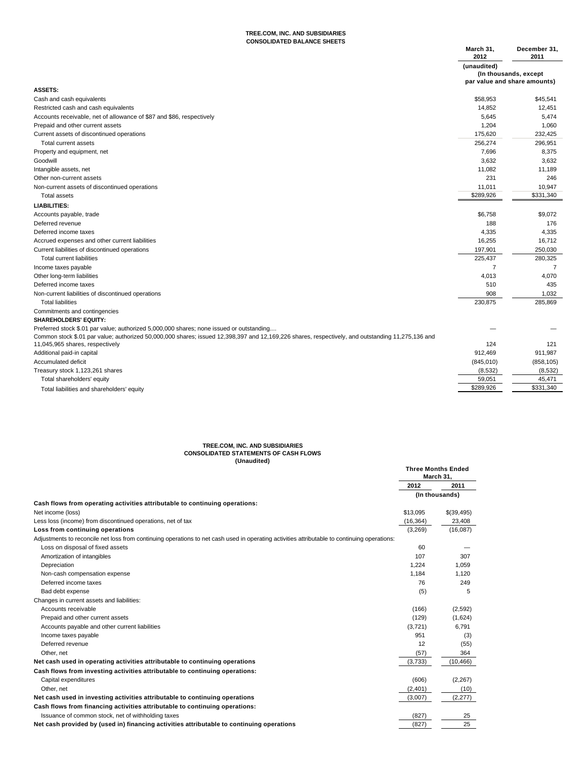#### **TREE.COM, INC. AND SUBSIDIARIES CONSOLIDATED BALANCE SHEETS**

|                                                                                                                                                   | March 31,<br>2012 | December 31,<br>2011         |
|---------------------------------------------------------------------------------------------------------------------------------------------------|-------------------|------------------------------|
|                                                                                                                                                   | (unaudited)       |                              |
|                                                                                                                                                   |                   | (In thousands, except        |
|                                                                                                                                                   |                   | par value and share amounts) |
| <b>ASSETS:</b>                                                                                                                                    |                   |                              |
| Cash and cash equivalents                                                                                                                         | \$58,953          | \$45,541                     |
| Restricted cash and cash equivalents                                                                                                              | 14,852            | 12,451                       |
| Accounts receivable, net of allowance of \$87 and \$86, respectively                                                                              | 5,645             | 5,474                        |
| Prepaid and other current assets                                                                                                                  | 1,204             | 1,060                        |
| Current assets of discontinued operations                                                                                                         | 175,620           | 232,425                      |
| Total current assets                                                                                                                              | 256,274           | 296,951                      |
| Property and equipment, net                                                                                                                       | 7,696             | 8,375                        |
| Goodwill                                                                                                                                          | 3,632             | 3,632                        |
| Intangible assets, net                                                                                                                            | 11,082            | 11,189                       |
| Other non-current assets                                                                                                                          | 231               | 246                          |
| Non-current assets of discontinued operations                                                                                                     | 11,011            | 10,947                       |
| <b>Total assets</b>                                                                                                                               | \$289,926         | \$331,340                    |
| <b>LIABILITIES:</b>                                                                                                                               |                   |                              |
| Accounts payable, trade                                                                                                                           | \$6,758           | \$9,072                      |
| Deferred revenue                                                                                                                                  | 188               | 176                          |
| Deferred income taxes                                                                                                                             | 4,335             | 4,335                        |
| Accrued expenses and other current liabilities                                                                                                    | 16,255            | 16,712                       |
| Current liabilities of discontinued operations                                                                                                    | 197,901           | 250,030                      |
| <b>Total current liabilities</b>                                                                                                                  | 225,437           | 280,325                      |
| Income taxes payable                                                                                                                              | 7                 | 7                            |
| Other long-term liabilities                                                                                                                       | 4,013             | 4,070                        |
| Deferred income taxes                                                                                                                             | 510               | 435                          |
| Non-current liabilities of discontinued operations                                                                                                | 908               | 1,032                        |
| <b>Total liabilities</b>                                                                                                                          | 230,875           | 285,869                      |
| Commitments and contingencies                                                                                                                     |                   |                              |
| <b>SHAREHOLDERS' EQUITY:</b>                                                                                                                      |                   |                              |
| Preferred stock \$.01 par value; authorized 5,000,000 shares; none issued or outstanding                                                          |                   |                              |
| Common stock \$.01 par value; authorized 50,000,000 shares; issued 12,398,397 and 12,169,226 shares, respectively, and outstanding 11,275,136 and |                   |                              |
| 11,045,965 shares, respectively                                                                                                                   | 124               | 121                          |
| Additional paid-in capital                                                                                                                        | 912,469           | 911,987                      |
| Accumulated deficit                                                                                                                               | (845, 010)        | (858, 105)                   |
| Treasury stock 1,123,261 shares                                                                                                                   | (8, 532)          | (8, 532)                     |
| Total shareholders' equity                                                                                                                        | 59,051            | 45,471                       |
| Total liabilities and shareholders' equity                                                                                                        | \$289,926         | \$331,340                    |

# **TREE.COM, INC. AND SUBSIDIARIES CONSOLIDATED STATEMENTS OF CASH FLOWS (Unaudited)**

| , , , , , , , , , , , , , ,                                                                                                                  |           | <b>Three Months Ended</b><br>March 31, |
|----------------------------------------------------------------------------------------------------------------------------------------------|-----------|----------------------------------------|
|                                                                                                                                              | 2012      | 2011                                   |
|                                                                                                                                              |           | (In thousands)                         |
| Cash flows from operating activities attributable to continuing operations:                                                                  |           |                                        |
| Net income (loss)                                                                                                                            | \$13,095  | \$(39,495)                             |
| Less loss (income) from discontinued operations, net of tax                                                                                  | (16, 364) | 23,408                                 |
| Loss from continuing operations                                                                                                              | (3,269)   | (16,087)                               |
| Adjustments to reconcile net loss from continuing operations to net cash used in operating activities attributable to continuing operations: |           |                                        |
| Loss on disposal of fixed assets                                                                                                             | 60        |                                        |
| Amortization of intangibles                                                                                                                  | 107       | 307                                    |
| Depreciation                                                                                                                                 | 1.224     | 1.059                                  |
| Non-cash compensation expense                                                                                                                | 1.184     | 1.120                                  |
| Deferred income taxes                                                                                                                        | 76        | 249                                    |
| Bad debt expense                                                                                                                             | (5)       | 5                                      |
| Changes in current assets and liabilities:                                                                                                   |           |                                        |
| Accounts receivable                                                                                                                          | (166)     | (2,592)                                |
| Prepaid and other current assets                                                                                                             | (129)     | (1,624)                                |
| Accounts payable and other current liabilities                                                                                               | (3,721)   | 6.791                                  |
| Income taxes payable                                                                                                                         | 951       | (3)                                    |
| Deferred revenue                                                                                                                             | 12        | (55)                                   |
| Other, net                                                                                                                                   | (57)      | 364                                    |
| Net cash used in operating activities attributable to continuing operations                                                                  | (3,733)   | (10, 466)                              |
| Cash flows from investing activities attributable to continuing operations:                                                                  |           |                                        |
| Capital expenditures                                                                                                                         | (606)     | (2, 267)                               |
| Other, net                                                                                                                                   | (2,401)   | (10)                                   |
| Net cash used in investing activities attributable to continuing operations                                                                  | (3,007)   | (2, 277)                               |
| Cash flows from financing activities attributable to continuing operations:                                                                  |           |                                        |
| Issuance of common stock, net of withholding taxes                                                                                           | (827)     | 25                                     |
| Net cash provided by (used in) financing activities attributable to continuing operations                                                    | (827)     | 25                                     |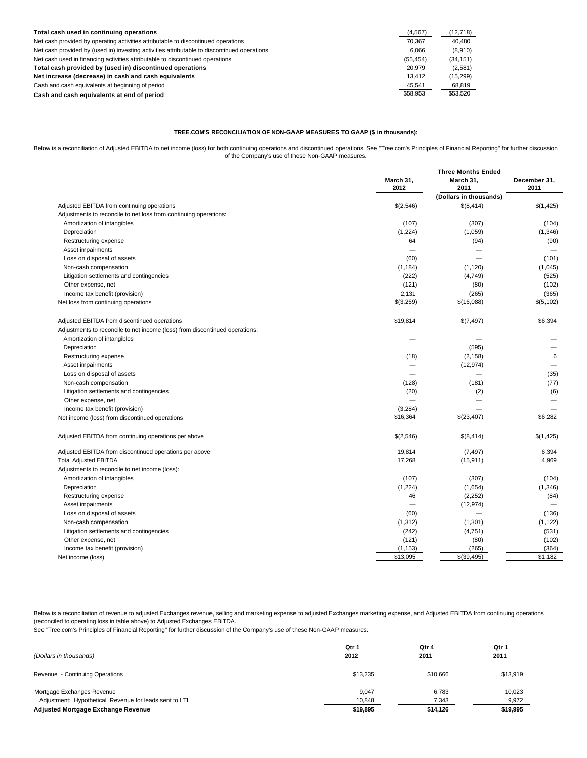| Total cash used in continuing operations                                                    | (4, 567)  | (12,718)  |
|---------------------------------------------------------------------------------------------|-----------|-----------|
| Net cash provided by operating activities attributable to discontinued operations           | 70.367    | 40.480    |
| Net cash provided by (used in) investing activities attributable to discontinued operations | 6.066     | (8,910)   |
| Net cash used in financing activities attributable to discontinued operations               | (55, 454) | (34, 151) |
| Total cash provided by (used in) discontinued operations                                    | 20,979    | (2,581)   |
| Net increase (decrease) in cash and cash equivalents                                        | 13.412    | (15, 299) |
| Cash and cash equivalents at beginning of period                                            | 45,541    | 68.819    |
| Cash and cash equivalents at end of period                                                  | \$58,953  | \$53,520  |

## **TREE.COM'S RECONCILIATION OF NON-GAAP MEASURES TO GAAP (\$ in thousands):**

Below is a reconciliation of Adjusted EBITDA to net income (loss) for both continuing operations and discontinued operations. See "Tree.com's Principles of Financial Reporting" for further discussion of the Company's use of these Non-GAAP measures.

|                                                                             | <b>Three Months Ended</b> |                        |                      |
|-----------------------------------------------------------------------------|---------------------------|------------------------|----------------------|
|                                                                             | March 31,<br>2012         | March 31,<br>2011      | December 31,<br>2011 |
|                                                                             |                           | (Dollars in thousands) |                      |
| Adjusted EBITDA from continuing operations                                  | \$(2,546)                 | \$(8,414)              | \$(1,425)            |
| Adjustments to reconcile to net loss from continuing operations:            |                           |                        |                      |
| Amortization of intangibles                                                 | (107)                     | (307)                  | (104)                |
| Depreciation                                                                | (1,224)                   | (1,059)                | (1, 346)             |
| Restructuring expense                                                       | 64                        | (94)                   | (90)                 |
| Asset impairments                                                           |                           |                        |                      |
| Loss on disposal of assets                                                  | (60)                      |                        | (101)                |
| Non-cash compensation                                                       | (1, 184)                  | (1, 120)               | (1,045)              |
| Litigation settlements and contingencies                                    | (222)                     | (4,749)                | (525)                |
| Other expense, net                                                          | (121)                     | (80)                   | (102)                |
| Income tax benefit (provision)                                              | 2,131                     | (265)                  | (365)                |
| Net loss from continuing operations                                         | \$(3,269)                 | \$(16,088)             | \$(5, 102)           |
| Adjusted EBITDA from discontinued operations                                | \$19,814                  | \$(7,497)              | \$6,394              |
| Adjustments to reconcile to net income (loss) from discontinued operations: |                           |                        |                      |
| Amortization of intangibles                                                 |                           |                        |                      |
| Depreciation                                                                |                           | (595)                  |                      |
| Restructuring expense                                                       | (18)                      | (2, 158)               | 6                    |
| Asset impairments                                                           |                           | (12, 974)              |                      |
| Loss on disposal of assets                                                  |                           |                        | (35)                 |
| Non-cash compensation                                                       | (128)                     | (181)                  | (77)                 |
| Litigation settlements and contingencies                                    | (20)                      | (2)                    | (6)                  |
| Other expense, net                                                          |                           |                        |                      |
| Income tax benefit (provision)                                              | (3,284)                   |                        |                      |
| Net income (loss) from discontinued operations                              | \$16,364                  | \$(23,407)             | \$6,282              |
| Adjusted EBITDA from continuing operations per above                        | \$(2,546)                 | \$(8,414)              | \$(1,425)            |
| Adjusted EBITDA from discontinued operations per above                      | 19,814                    | (7, 497)               | 6,394                |
| <b>Total Adjusted EBITDA</b>                                                | 17,268                    | (15, 911)              | 4,969                |
| Adjustments to reconcile to net income (loss):                              |                           |                        |                      |
| Amortization of intangibles                                                 | (107)                     | (307)                  | (104)                |
| Depreciation                                                                | (1,224)                   | (1,654)                | (1, 346)             |
| Restructuring expense                                                       | 46                        | (2,252)                | (84)                 |
| Asset impairments                                                           |                           | (12, 974)              |                      |
| Loss on disposal of assets                                                  | (60)                      |                        | (136)                |
| Non-cash compensation                                                       | (1, 312)                  | (1,301)                | (1, 122)             |
| Litigation settlements and contingencies                                    | (242)                     | (4,751)                | (531)                |
| Other expense, net                                                          | (121)                     | (80)                   | (102)                |
| Income tax benefit (provision)                                              | (1, 153)                  | (265)                  | (364)                |
| Net income (loss)                                                           | \$13,095                  | \$(39,495)             | \$1,182              |

Below is a reconciliation of revenue to adjusted Exchanges revenue, selling and marketing expense to adjusted gxchanges marketing expense, and Adjusted EBITDA from continuing operations (reconciled to operating loss in table above) to Adjusted Exchanges EBITDA.

See "Tree.com's Principles of Financial Reporting" for further discussion of the Company's use of these Non-GAAP measures.

| (Dollars in thousands)                                 | Qtr 1    | Qtr 4    | Qtr 1    |
|--------------------------------------------------------|----------|----------|----------|
|                                                        | 2012     | 2011     | 2011     |
| Revenue - Continuing Operations                        | \$13.235 | \$10,666 | \$13,919 |
| Mortgage Exchanges Revenue                             | 9.047    | 6.783    | 10,023   |
| Adjustment: Hypothetical Revenue for leads sent to LTL | 10,848   | 7,343    | 9,972    |
| Adjusted Mortgage Exchange Revenue                     | \$19,895 | \$14,126 | \$19,995 |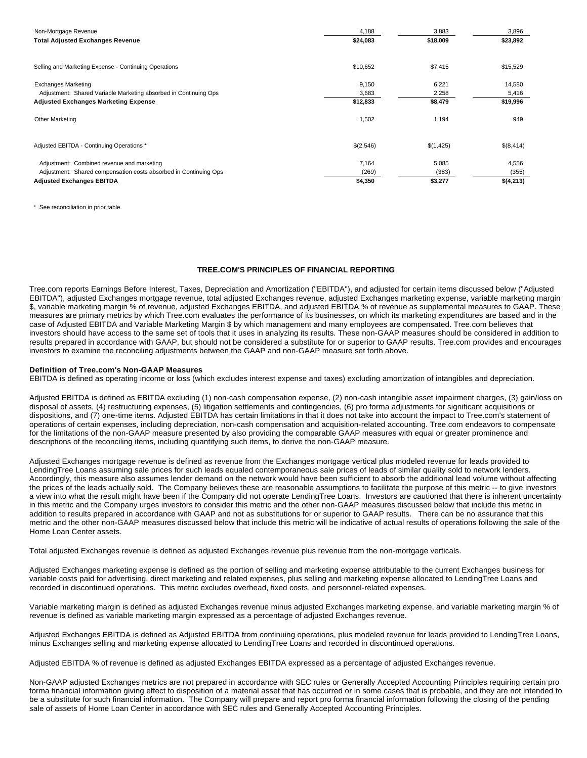| Non-Mortgage Revenue                                             | 4,188     | 3,883     | 3,896     |  |
|------------------------------------------------------------------|-----------|-----------|-----------|--|
| <b>Total Adjusted Exchanges Revenue</b>                          | \$24,083  | \$18,009  | \$23,892  |  |
|                                                                  |           |           |           |  |
| Selling and Marketing Expense - Continuing Operations            | \$10,652  | \$7,415   | \$15,529  |  |
| <b>Exchanges Marketing</b>                                       | 9,150     | 6,221     | 14,580    |  |
| Adjustment: Shared Variable Marketing absorbed in Continuing Ops | 3,683     | 2,258     | 5,416     |  |
| <b>Adjusted Exchanges Marketing Expense</b>                      | \$12,833  | \$8,479   | \$19,996  |  |
| Other Marketing                                                  | 1,502     | 1,194     | 949       |  |
| Adjusted EBITDA - Continuing Operations *                        | \$(2,546) | \$(1,425) | \$(8,414) |  |
| Adjustment: Combined revenue and marketing                       | 7,164     | 5,085     | 4,556     |  |
| Adjustment: Shared compensation costs absorbed in Continuing Ops | (269)     | (383)     | (355)     |  |
| <b>Adjusted Exchanges EBITDA</b>                                 | \$4,350   | \$3,277   | \$(4,213) |  |

\* See reconciliation in prior table.

## **TREE.COM'S PRINCIPLES OF FINANCIAL REPORTING**

Tree.com reports Earnings Before Interest, Taxes, Depreciation and Amortization ("EBITDA"), and adjusted for certain items discussed below ("Adjusted EBITDA"), adjusted Exchanges mortgage revenue, total adjusted Exchanges revenue, adjusted Exchanges marketing expense, variable marketing margin \$, variable marketing margin % of revenue, adjusted Exchanges EBITDA, and adjusted EBITDA % of revenue as supplemental measures to GAAP. These measures are primary metrics by which Tree.com evaluates the performance of its businesses, on which its marketing expenditures are based and in the case of Adjusted EBITDA and Variable Marketing Margin \$ by which management and many employees are compensated. Tree.com believes that investors should have access to the same set of tools that it uses in analyzing its results. These non-GAAP measures should be considered in addition to results prepared in accordance with GAAP, but should not be considered a substitute for or superior to GAAP results. Tree.com provides and encourages investors to examine the reconciling adjustments between the GAAP and non-GAAP measure set forth above.

## **Definition of Tree.com's Non-GAAP Measures**

EBITDA is defined as operating income or loss (which excludes interest expense and taxes) excluding amortization of intangibles and depreciation.

Adjusted EBITDA is defined as EBITDA excluding (1) non-cash compensation expense, (2) non-cash intangible asset impairment charges, (3) gain/loss on disposal of assets, (4) restructuring expenses, (5) litigation settlements and contingencies, (6) pro forma adjustments for significant acquisitions or dispositions, and (7) one-time items. Adjusted EBITDA has certain limitations in that it does not take into account the impact to Tree.com's statement of operations of certain expenses, including depreciation, non-cash compensation and acquisition-related accounting. Tree.com endeavors to compensate for the limitations of the non-GAAP measure presented by also providing the comparable GAAP measures with equal or greater prominence and descriptions of the reconciling items, including quantifying such items, to derive the non-GAAP measure.

Adjusted Exchanges mortgage revenue is defined as revenue from the Exchanges mortgage vertical plus modeled revenue for leads provided to LendingTree Loans assuming sale prices for such leads equaled contemporaneous sale prices of leads of similar quality sold to network lenders. Accordingly, this measure also assumes lender demand on the network would have been sufficient to absorb the additional lead volume without affecting the prices of the leads actually sold. The Company believes these are reasonable assumptions to facilitate the purpose of this metric -- to give investors a view into what the result might have been if the Company did not operate LendingTree Loans. Investors are cautioned that there is inherent uncertainty in this metric and the Company urges investors to consider this metric and the other non-GAAP measures discussed below that include this metric in addition to results prepared in accordance with GAAP and not as substitutions for or superior to GAAP results. There can be no assurance that this metric and the other non-GAAP measures discussed below that include this metric will be indicative of actual results of operations following the sale of the Home Loan Center assets.

Total adjusted Exchanges revenue is defined as adjusted Exchanges revenue plus revenue from the non-mortgage verticals.

Adjusted Exchanges marketing expense is defined as the portion of selling and marketing expense attributable to the current Exchanges business for variable costs paid for advertising, direct marketing and related expenses, plus selling and marketing expense allocated to LendingTree Loans and recorded in discontinued operations. This metric excludes overhead, fixed costs, and personnel-related expenses.

Variable marketing margin is defined as adjusted Exchanges revenue minus adjusted Exchanges marketing expense, and variable marketing margin % of revenue is defined as variable marketing margin expressed as a percentage of adjusted Exchanges revenue.

Adjusted Exchanges EBITDA is defined as Adjusted EBITDA from continuing operations, plus modeled revenue for leads provided to LendingTree Loans, minus Exchanges selling and marketing expense allocated to LendingTree Loans and recorded in discontinued operations.

Adjusted EBITDA % of revenue is defined as adjusted Exchanges EBITDA expressed as a percentage of adjusted Exchanges revenue.

Non-GAAP adjusted Exchanges metrics are not prepared in accordance with SEC rules or Generally Accepted Accounting Principles requiring certain pro forma financial information giving effect to disposition of a material asset that has occurred or in some cases that is probable, and they are not intended to be a substitute for such financial information. The Company will prepare and report pro forma financial information following the closing of the pending sale of assets of Home Loan Center in accordance with SEC rules and Generally Accepted Accounting Principles.